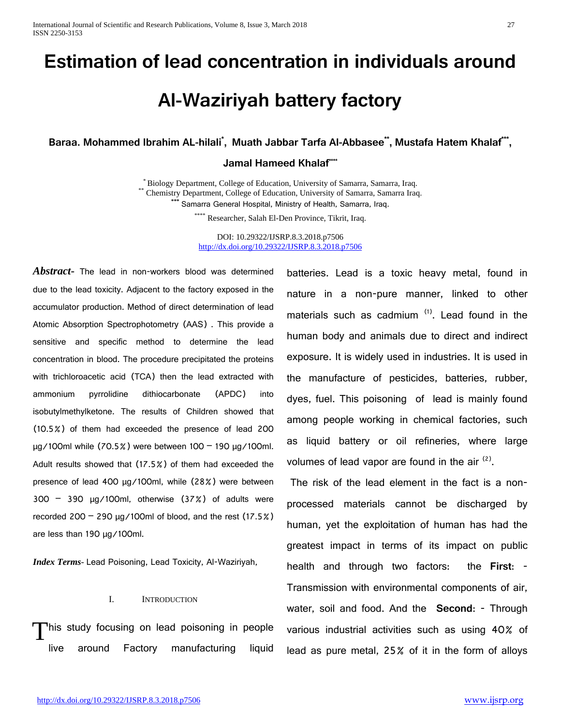# **Estimation of lead concentration in individuals around**

# **Al-Waziriyah battery factory**

**Baraa. Mohammed Ibrahim AL-hilali\* , Muath Jabbar Tarfa Al-Abbasee\*\*, Mustafa Hatem Khalaf\*\*\*,** 

## **Jamal Hameed Khalaf\*\***\*

 $^*$  Biology Department, College of Education, University of Samarra, Samarra, Iraq.<br>' Chemistry Department, College of Education, University of Samarra, Samarra Iraq. Samarra General Hospital, Ministry of Health, Samarra, Iraq.

\*\*\*\* Researcher, Salah El-Den Province, Tikrit, Iraq.

DOI: 10.29322/IJSRP.8.3.2018.p7506 <http://dx.doi.org/10.29322/IJSRP.8.3.2018.p7506>

*Abstract***-** The lead in non-workers blood was determined due to the lead toxicity. Adjacent to the factory exposed in the accumulator production. Method of direct determination of lead Atomic Absorption Spectrophotometry (AAS) . This provide a sensitive and specific method to determine the lead concentration in blood. The procedure precipitated the proteins with trichloroacetic acid (TCA) then the lead extracted with ammonium pyrrolidine dithiocarbonate (APDC) into isobutylmethylketone. The results of Children showed that (10.5%) of them had exceeded the presence of lead 200 µg/100ml while (70.5%) were between 100 – 190 µg/100ml. Adult results showed that (17.5%) of them had exceeded the presence of lead 400 µg/100ml, while (28%) were between  $300 - 390$  µg/100ml, otherwise  $(37%)$  of adults were recorded 200  $-$  290  $\mu$ g/100ml of blood, and the rest (17.5%) are less than 190 µg/100ml.

*Index Terms*- Lead Poisoning, Lead Toxicity, Al-Waziriyah,

#### I. INTRODUCTION

his study focusing on lead poisoning in people live around Factory manufacturing liquid T

batteries. Lead is a toxic heavy metal, found in nature in a non-pure manner, linked to other materials such as cadmium  $(1)$ . Lead found in the human body and animals due to direct and indirect exposure. It is widely used in industries. It is used in the manufacture of pesticides, batteries, rubber, dyes, fuel. This poisoning of lead is mainly found among people working in chemical factories, such as liquid battery or oil refineries, where large volumes of lead vapor are found in the air  $(2)$ .

The risk of the lead element in the fact is a nonprocessed materials cannot be discharged by human, yet the exploitation of human has had the greatest impact in terms of its impact on public health and through two factors: the **First**: - Transmission with environmental components of air, water, soil and food. And the **Second**: - Through various industrial activities such as using 40% of lead as pure metal, 25% of it in the form of alloys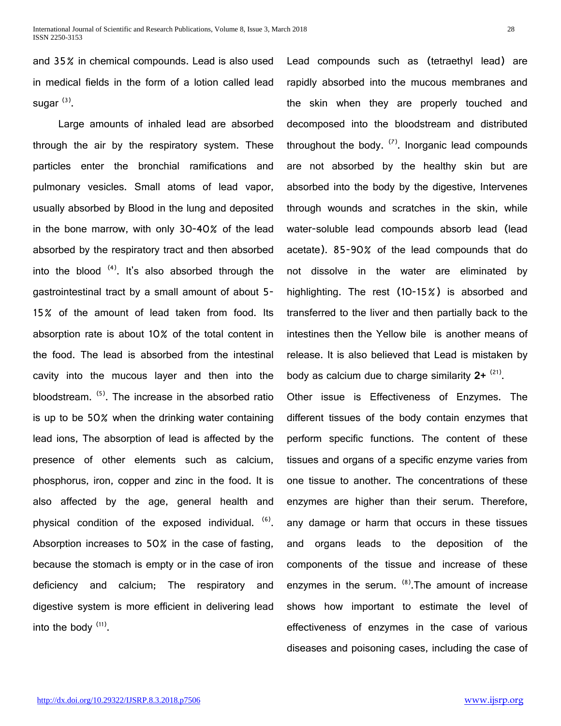and 35% in chemical compounds. Lead is also used in medical fields in the form of a lotion called lead sugar $^{(3)}$ .

 Large amounts of inhaled lead are absorbed through the air by the respiratory system. These particles enter the bronchial ramifications and pulmonary vesicles. Small atoms of lead vapor, usually absorbed by Blood in the lung and deposited in the bone marrow, with only 30-40% of the lead absorbed by the respiratory tract and then absorbed into the blood  $(4)$ . It's also absorbed through the gastrointestinal tract by a small amount of about 5- 15% of the amount of lead taken from food. Its absorption rate is about 10% of the total content in the food. The lead is absorbed from the intestinal cavity into the mucous layer and then into the bloodstream.  $<sup>(5)</sup>$ . The increase in the absorbed ratio</sup> is up to be 50% when the drinking water containing lead ions, The absorption of lead is affected by the presence of other elements such as calcium, phosphorus, iron, copper and zinc in the food. It is also affected by the age, general health and physical condition of the exposed individual.  $<sup>(6)</sup>$ .</sup> Absorption increases to 50% in the case of fasting, because the stomach is empty or in the case of iron deficiency and calcium; The respiratory and digestive system is more efficient in delivering lead into the body  $(11)$ .

Lead compounds such as (tetraethyl lead) are rapidly absorbed into the mucous membranes and the skin when they are properly touched and decomposed into the bloodstream and distributed throughout the body.  $(7)$ . Inorganic lead compounds are not absorbed by the healthy skin but are absorbed into the body by the digestive, Intervenes through wounds and scratches in the skin, while water-soluble lead compounds absorb lead (lead acetate). 85-90% of the lead compounds that do not dissolve in the water are eliminated by highlighting. The rest (10-15%) is absorbed and transferred to the liver and then partially back to the intestines then the Yellow bile is another means of release. It is also believed that Lead is mistaken by body as calcium due to charge similarity **2+** (21).

Other issue is Effectiveness of Enzymes. The different tissues of the body contain enzymes that perform specific functions. The content of these tissues and organs of a specific enzyme varies from one tissue to another. The concentrations of these enzymes are higher than their serum. Therefore, any damage or harm that occurs in these tissues and organs leads to the deposition of the components of the tissue and increase of these enzymes in the serum.  $(8)$ . The amount of increase shows how important to estimate the level of effectiveness of enzymes in the case of various diseases and poisoning cases, including the case of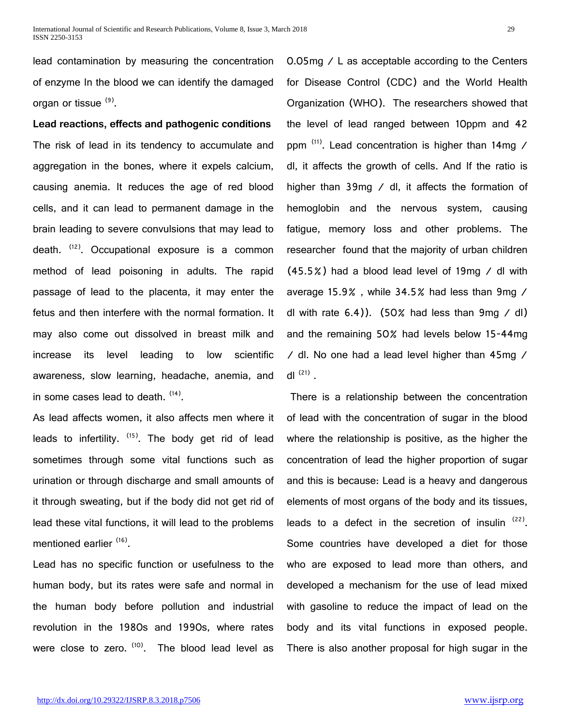lead contamination by measuring the concentration of enzyme In the blood we can identify the damaged organ or tissue (9).

**Lead reactions, effects and pathogenic conditions** The risk of lead in its tendency to accumulate and aggregation in the bones, where it expels calcium, causing anemia. It reduces the age of red blood cells, and it can lead to permanent damage in the brain leading to severe convulsions that may lead to death. <sup>(12)</sup>. Occupational exposure is a common method of lead poisoning in adults. The rapid passage of lead to the placenta, it may enter the fetus and then interfere with the normal formation. It may also come out dissolved in breast milk and increase its level leading to low scientific awareness, slow learning, headache, anemia, and in some cases lead to death.  $(14)$ .

As lead affects women, it also affects men where it leads to infertility.  $(15)$ . The body get rid of lead sometimes through some vital functions such as urination or through discharge and small amounts of it through sweating, but if the body did not get rid of lead these vital functions, it will lead to the problems mentioned earlier (16).

Lead has no specific function or usefulness to the human body, but its rates were safe and normal in the human body before pollution and industrial revolution in the 1980s and 1990s, where rates were close to zero. (10). The blood lead level as 0.05mg / L as acceptable according to the Centers for Disease Control (CDC) and the World Health Organization (WHO). The researchers showed that the level of lead ranged between 10ppm and 42 ppm  $(11)$ . Lead concentration is higher than 14mg / dl, it affects the growth of cells. And If the ratio is higher than 39mg / dl, it affects the formation of hemoglobin and the nervous system, causing fatigue, memory loss and other problems. The researcher found that the majority of urban children (45.5%) had a blood lead level of 19mg / dl with average 15.9% , while 34.5% had less than 9mg / dl with rate  $6.4$ )). (50% had less than 9mg / dl) and the remaining 50% had levels below 15-44mg / dl. No one had a lead level higher than 45mg / dl  $(21)$ .

There is a relationship between the concentration of lead with the concentration of sugar in the blood where the relationship is positive, as the higher the concentration of lead the higher proportion of sugar and this is because: Lead is a heavy and dangerous elements of most organs of the body and its tissues, leads to a defect in the secretion of insulin  $(22)$ . Some countries have developed a diet for those who are exposed to lead more than others, and developed a mechanism for the use of lead mixed with gasoline to reduce the impact of lead on the body and its vital functions in exposed people. There is also another proposal for high sugar in the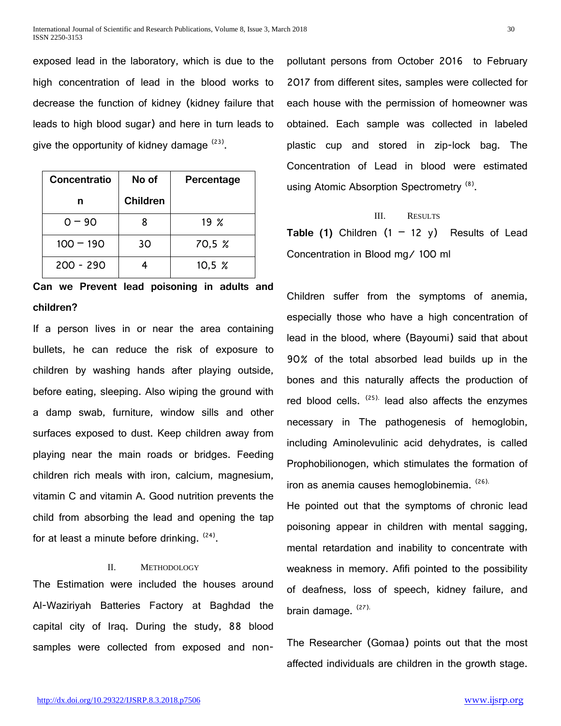exposed lead in the laboratory, which is due to the high concentration of lead in the blood works to decrease the function of kidney (kidney failure that leads to high blood sugar) and here in turn leads to give the opportunity of kidney damage  $(23)$ .

| <b>Concentratio</b> | No of           | Percentage  |
|---------------------|-----------------|-------------|
| n                   | <b>Children</b> |             |
| $0 - 90$            |                 | $19 \; \%$  |
| $100 - 190$         | 30              | 70,5 %      |
| $200 - 290$         |                 | $10,5 \, %$ |

**Can we Prevent lead poisoning in adults and children?**

If a person lives in or near the area containing bullets, he can reduce the risk of exposure to children by washing hands after playing outside, before eating, sleeping. Also wiping the ground with a damp swab, furniture, window sills and other surfaces exposed to dust. Keep children away from playing near the main roads or bridges. Feeding children rich meals with iron, calcium, magnesium, vitamin C and vitamin A. Good nutrition prevents the child from absorbing the lead and opening the tap for at least a minute before drinking. <sup>(24)</sup>.

## II. METHODOLOGY

The Estimation were included the houses around Al-Waziriyah Batteries Factory at Baghdad the capital city of Iraq. During the study, 88 blood samples were collected from exposed and nonpollutant persons from October 2016 to February 2017 from different sites, samples were collected for each house with the permission of homeowner was obtained. Each sample was collected in labeled plastic cup and stored in zip-lock bag. The Concentration of Lead in blood were estimated using Atomic Absorption Spectrometry <sup>(8)</sup>.

#### III. RESULTS

**Table (1)** Children  $(1 - 12 y)$  Results of Lead Concentration in Blood mg/ 100 ml

Children suffer from the symptoms of anemia, especially those who have a high concentration of lead in the blood, where (Bayoumi) said that about 90% of the total absorbed lead builds up in the bones and this naturally affects the production of red blood cells.  $(25)$ . lead also affects the enzymes necessary in The pathogenesis of hemoglobin, including Aminolevulinic acid dehydrates, is called Prophobilionogen, which stimulates the formation of iron as anemia causes hemoglobinemia. (26).

He pointed out that the symptoms of chronic lead poisoning appear in children with mental sagging, mental retardation and inability to concentrate with weakness in memory. Afifi pointed to the possibility of deafness, loss of speech, kidney failure, and brain damage. (27).

The Researcher (Gomaa) points out that the most affected individuals are children in the growth stage.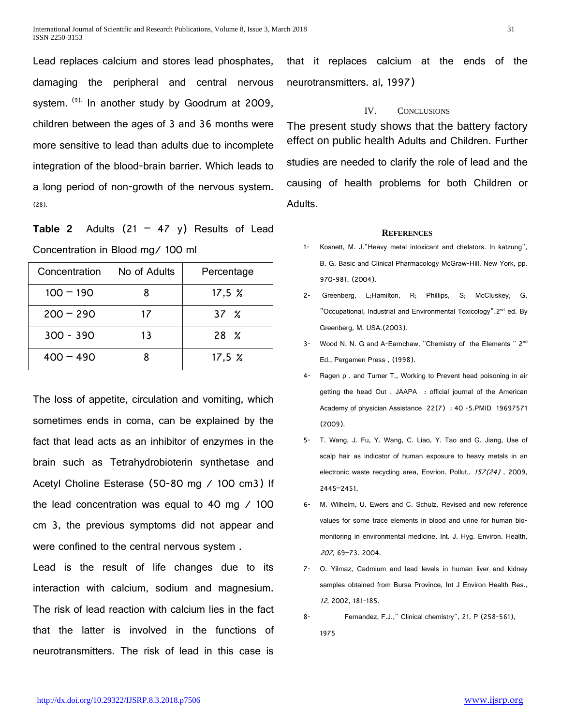Lead replaces calcium and stores lead phosphates, damaging the peripheral and central nervous system. <sup>(9).</sup> In another study by Goodrum at 2009, children between the ages of 3 and 36 months were more sensitive to lead than adults due to incomplete integration of the blood-brain barrier. Which leads to a long period of non-growth of the nervous system. (28).

**Table 2** Adults  $(21 - 47 y)$  Results of Lead Concentration in Blood mg/ 100 ml

| Concentration | No of Adults | Percentage |
|---------------|--------------|------------|
| $100 - 190$   |              | 17,5%      |
| $200 - 290$   | 17           | 37 X       |
| $300 - 390$   | 13           | $28 \t%$   |
| $400 - 490$   |              | 17,5 $\%$  |

The loss of appetite, circulation and vomiting, which sometimes ends in coma, can be explained by the fact that lead acts as an inhibitor of enzymes in the brain such as Tetrahydrobioterin synthetase and Acetyl Choline Esterase (50-80 mg / 100 cm3) If the lead concentration was equal to 40 mg / 100 cm 3, the previous symptoms did not appear and were confined to the central nervous system .

Lead is the result of life changes due to its interaction with calcium, sodium and magnesium. The risk of lead reaction with calcium lies in the fact that the latter is involved in the functions of neurotransmitters. The risk of lead in this case is that it replaces calcium at the ends of the neurotransmitters. al, 1997)

# IV. CONCLUSIONS

The present study shows that the battery factory effect on public health Adults and Children. Further studies are needed to clarify the role of lead and the causing of health problems for both Children or Adults.

#### **REFERENCES**

- 1- Kosnett, M. J."Heavy metal intoxicant and chelators. In katzung", B. G. Basic and Clinical Pharmacology McGraw-Hill, New York, pp. 970-981. (2004).
- 2- Greenberg, L;Hamilton, R; Phillips, S; McCIuskey, G. "Occupational, Industrial and Environmental Toxicology".2<sup>nd</sup> ed. By Greenberg, M. USA.(2003).
- 3- Wood N. N. G and A-Earnchaw, "Chemistry of the Elements " 2<sup>nd</sup> Ed., Pergamen Press , (1998).
- 4- Ragen p . and Turner T., Working to Prevent head poisoning in air getting the head Out . JAAPA : official journal of the American Academy of physician Assistance 22(7) : 40 -5.PMID 19697571 (2009).
- 5- T. Wang, J. Fu, Y. Wang, C. Liao, Y. Tao and G. Jiang, Use of scalp hair as indicator of human exposure to heavy metals in an electronic waste recycling area, Envrion. Pollut.,  $157(24)$ , 2009, 2445–2451.
- 6- M. Wilhelm, U. Ewers and C. Schulz, Revised and new reference values for some trace elements in blood and urine for human biomonitoring in environmental medicine, Int. J. Hyg. Environ. Health, <sup>207</sup>, 69–73. 2004.
- 7- O. Yilmaz, Cadmium and lead levels in human liver and kidney samples obtained from Bursa Province, Int J Environ Health Res., <sup>12</sup>, 2002, 181-185.
- 8- Fernandez, F.J.," Clinical chemistry", 21, P (258-561), 1975